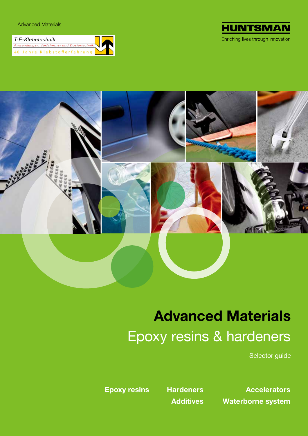| T-E-Klebetechnik                           |  |
|--------------------------------------------|--|
| Anwendungs-, Verfahrens- und Dosiertechnik |  |
| 40 Jahre Klebstofferfahrung                |  |





## **Advanced Materials** Epoxy resins & hardeners

Selector guide

**Epoxy resins Hardeners** 

**Accelerators Additives Waterborne system**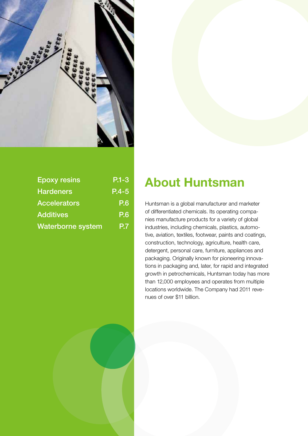

| <b>Epoxy resins</b>      | $P.1 - 3$  |
|--------------------------|------------|
| <b>Hardeners</b>         | $P.4 - 5$  |
| <b>Accelerators</b>      | <b>P.6</b> |
| <b>Additives</b>         | <b>P.6</b> |
| <b>Waterborne system</b> | P.7        |

## **About Huntsman**

Huntsman is a global manufacturer and marketer of differentiated chemicals. Its operating companies manufacture products for a variety of global industries, including chemicals, plastics, automotive, aviation, textiles, footwear, paints and coatings, construction, technology, agriculture, health care, detergent, personal care, furniture, appliances and packaging. Originally known for pioneering innovations in packaging and, later, for rapid and integrated growth in petrochemicals, Huntsman today has more than 12,000 employees and operates from multiple locations worldwide. The Company had 2011 revenues of over \$11 billion.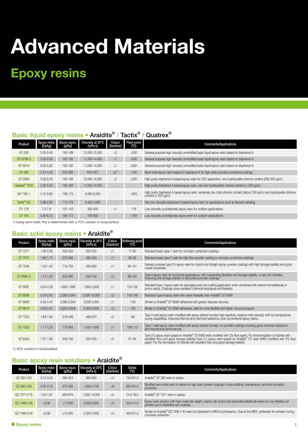## **Epoxy resins**

### Basic liquid epoxy resins • Araldite® / Tactix® / Quatrex®

| Product                   | Epoxy index<br>[Eq/kg] | Epoxy equiv.<br>[g/Eq] | Viscosity at 25°C<br>[mPa s] | Colour<br>[Gardner] | Flash point<br>[°C] | <b>Comments/Applications</b>                                                                                                                        |
|---------------------------|------------------------|------------------------|------------------------------|---------------------|---------------------|-----------------------------------------------------------------------------------------------------------------------------------------------------|
| GY 250                    | 5.30-5.45              | 183-189                | 10,000-12,000                | $\leq$ 2            | $\geq$ 200          | General purpose high viscosity unmodified basic liquid epoxy resin based on bisphenol-A.                                                            |
| GY 9708-3                 | $5.20 - 5.50$          | 182-192                | 11,000-14,000                | $\leq$ 1            | $\geq$ 200          | General purpose high viscosity unmodified basic liquid epoxy resin based on bisphenol-A.                                                            |
| GY 6010                   | 5.20-5.50              | 182-192                | 11,000-14,000                | $\leq$ 1            | $\geq$ 200          | General purpose high viscosity unmodified basic liquid epoxy resin based on bisphenol-A.                                                            |
| GY 280                    | $3.57 - 4.45$          | 225-280                | 450-700 <sup>1</sup>         | $\leq 3^{1}$        | $\geq 100$          | Semi-solid epoxy resin based on bisphenol-A for high solid corrosion protective coatings.                                                           |
| GY 2600                   | 5.29-5.43              | 185-189                | 12,000-14,000                | $\leq$ 2            | $\geq$ 200          | High purity bisphenol-A based epoxy resin for CED application, low hydrolyzable chlorine content (200-300 ppm).                                     |
| Quatrex <sup>®</sup> 1010 | $5.26 - 5.50$          | 182-190                | 11,000-14,000                |                     |                     | High purity bisphenol-A based epoxy resin, very low hydrolyzable chlorine content (< 200 ppm).                                                      |
| MY 790-1                  | 5.70-5.90              | 169-175                | 4,000-5,500                  |                     | $>200$              | High purity bisphenol-A based epoxy resin, extremely low total chlorine content (about 700 ppm) and hydrolyzable chlorine<br>content $(< 200$ ppm). |
| Tactix <sup>®</sup> 123   | 5.68-5.80              | 172-176                | 4,400-5,600                  |                     |                     | Very low viscosity bisphenol-A based epoxy resin for applications such as filament winding.                                                         |
| CY 179                    | $7.0 - 7.6$            | 131-143                | 350-450                      | $\leq$ 1            | 118                 | Low viscosity cycloaliphatic epoxy resin for outdoor applications.                                                                                  |
| CY 184                    | $5.80 - 6.10$          | 164-173                | 700-900                      | ٠                   | $\geq 169$          | Low viscosity cycloaliphatic epoxy resin for outdoor applications.                                                                                  |

1) being semi-solid, this is determined with a 70% solution in butylcarbitol

### Basic solid epoxy resins • Araldite®

| Product   | Epoxy index<br>[Eq/kg] | Epoxy equiv.<br>[g/Eq] | Viscosity at 25°C<br>[mPa s] | Colour<br>[Gardner] | Softening point<br>[°C] | <b>Comments/Applications</b>                                                                                                                                                                                                                                                                                                                |
|-----------|------------------------|------------------------|------------------------------|---------------------|-------------------------|---------------------------------------------------------------------------------------------------------------------------------------------------------------------------------------------------------------------------------------------------------------------------------------------------------------------------------------------|
| GT 7071   | 1.90-2.00              | 500-525                | 200-250                      | $\leq$ 1            | 77-82                   | Standard basic type-1 resin for corrosion protective coatings.                                                                                                                                                                                                                                                                              |
| GT 7072   | 1.68-1.75              | 570-595                | 280-340                      | $\leq 1$            | 82-90                   | Standard basic type-2 resin for high flow powder coating or corrosion protective coatings.                                                                                                                                                                                                                                                  |
| GT 7004   | 1.33-1.40              | 715-750                | 500-600                      | $\leq$ 1            | $95 - 101$              | General purpose type 3 <sup>1/2</sup> epoxy resin for hybrid and straight epoxy powder coatings with high storage stability and good<br>overall properties.                                                                                                                                                                                 |
| GT 6084-2 | $1.12 - 1.20$          | 833-890                | 550-700                      | $\leq$ 2            | 99-105                  | Type 4 epoxy resin for functional applications, with outstanding flexibility and storage stability. In very hot climates,<br>improving the storage stability of decorative powder coatings.                                                                                                                                                 |
| GT 6097   | $0.53 - 0.59$          | 1,695-1,885            | 1,800-2,600                  | $\leq$ 1            | 120-132                 | Standard type 7 epoxy resin for packaging and coil coating application when combined with phenol-formaldehyde or<br>amino resins. Coatings show excellent chemical resistance and flexibility.                                                                                                                                              |
| GT 6099   | $0.34 - 0.42$          | 2,380-2,940            | 5,000-10,000                 | $\leq$ 2            | 143-158                 | Standard type 9 epoxy resin with better flexibility than Araldite® GT 6097.                                                                                                                                                                                                                                                                 |
| GT 6609   | $0.34 - 0.42$          | 2,380-2,940            | 3,500-5,500                  | $\leq$ 1            | ~150                    | Similar to Araldite® GT 6099 adhesives with greatly reduced viscosity.                                                                                                                                                                                                                                                                      |
| GT 6610   | $0.26 - 0.34$          | 2,940-3,846            | 5,000-8,000                  | $\leq$ 2            | ~150                    | Similar to Araldite® GT 6099 adhesives, ideal for more flexible and higher viscous lacquers.                                                                                                                                                                                                                                                |
| GT 7220   | 1.83-1.93              | 518-546                | 460-670                      | $\leq$ 2            | ~105                    | Type 4 solid epoxy resin modified with epoxy phenol novolac high reactivity, medium melt viscosity with low temperature<br>curing capabilities. Improves thermal and chemical resistance over conventional epoxy resins.                                                                                                                    |
| GT 7255   | $1.17 - 1.29$          | 775-855                | 1,430-1,850                  | $\leq 1$            | 106-113                 | Type 7 solid epoxy resin modified with epoxy phenol novolac, for powder coatings showing good chemical resistance<br>and mechanical performances.                                                                                                                                                                                           |
| GT 6450   | 1.37-1.56              | 640-730                | 350-500                      | $\leq$ 2            | $91 - 94$               | Type 21/2 epoxy resin based on Araldite® GT 6063 resin modified with 2% flow agent. For the formulation of hybrids with<br>excellent flow and good storage stability. Type 21/2 epoxy resin based on Araldite® GT resin 6063 modified with 2% flow<br>agent. For the formulation of hybrids with excellent flow and good storage stability. |

1) 40% solution in butylcarbitol

### Basic epoxy resin solutions • Araldite®

| Product      | Epoxy index<br>[Eq/kg] |         | Epoxy equiv. Viscosity at 25°C<br>[g/Eq] [mPa s] | Colour<br>[Gardner] | Solids<br>[°C] | <b>Comments/Applications</b>                                                                                                                                        |
|--------------|------------------------|---------|--------------------------------------------------|---------------------|----------------|---------------------------------------------------------------------------------------------------------------------------------------------------------------------|
| GZ 280 X 80  | $3.10 - 3.40$          | 290-323 | 600-850                                          | $\leq$ 3            | 79.0-81.0      | Araldite® GY 280 resin in xylene.                                                                                                                                   |
| GZ 290 X 90  | 3.30-3.70              | 270-305 | 1.300-3.700                                      | $\leq 6$            | 89.0-91.0      | Modified semi-solid resin in xylene for high solid content coatings in ship-building, maintenance, and anti-corrosion<br>protection.                                |
| GZ 7071 X 75 | 1.50-1.67              | 600-670 | 7.000-10.000                                     | $\leq$ 2            | 74.0-76.0      | Araldite® GT 7071 resin in xylene.                                                                                                                                  |
| GZ 7488 V 40 | $≤0.06$                | ≥17.000 | 3.000-6.000                                      | $\leq 4$            | 39.0-41.0      | Epoxy resin solution with high molecular weight, mainly with amino and phenolformaldehyde resins for very flexible coil<br>primers and to flexibilise can coatings. |
| GZ 7488 N 50 | $≤0.08$                | ≥12.500 | 2,000-5,000                                      | $\leq 4$            | 49.0-51.0      | Similar to Araldite® GZ 7488 V 40 resin but dissolved in MEK/cyclohexanon. Due to the MEK, preferably for ambient curing<br>corrosion protection.                   |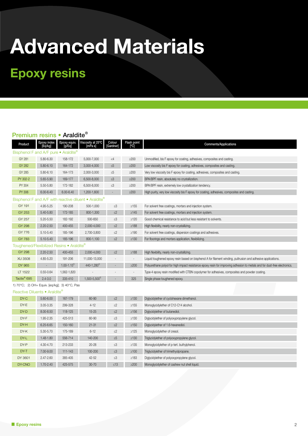DY-H 6.25-6.65 150-160 21-31 ≤2 ≥150 Diglycidylether of 1.6-hexanediol. DY-K 5.30-5.70 175-189 6-12 ≤2 ≥125 Monoglycidylether of cresol.

DY-L 1.48-1.80 556-714 140-200 ≤5 ≥130 Triglycidylether of polyoxypropylene glycol. DY-P 4.30-4.70 213-233 20-28 ≤3 ≥135 Monoglycidylether of p-tert. buthylphenol. DY-T 7.00-9.00 111-143 100-200 ≤3 ≥100 Triglycidylether of trimethyolpropane. DY 3601 2.47-2.60 385-405 42-52 ≤3 ≥183 Diglycidylether of polyoxypropylene glycol. DY-CNO 1.70-2.40 425-575 30-70 ≤13 ≥200 Monoglycidylether of cashew nut shell liquid.

## **Epoxy resins**

#### Premium resins • Araldite®

| Product                 | Epoxy index<br>[Eq/kg]                       | Epoxy equiv.<br>[g/Eq] | Viscosity at 25°C<br>[mPa s]                          | Colour<br>[Gardner]      | Flash point<br>[°Ċ]      | <b>Comments/Applications</b>                                                                                               |
|-------------------------|----------------------------------------------|------------------------|-------------------------------------------------------|--------------------------|--------------------------|----------------------------------------------------------------------------------------------------------------------------|
|                         | Bisphenol F and A/F pure • Araldite®         |                        |                                                       |                          |                          |                                                                                                                            |
| GY 281                  | 5.80-6.30                                    | 158-172                | 5,000-7,000                                           | $\lt4$                   | $\geq$ 200               | Unmodified, bis F epoxy for coating, adhesives, composites and casting.                                                    |
| GY 282                  | $5.80 - 6.10$                                | 164-172                | 3,000-4,000                                           | $\leq 5$                 | $\geq$ 200               | Low viscosity bis F epoxy for coating, adhesives, composites and casting.                                                  |
| GY 285                  | 5.80-6.10                                    | 164-173                | 2,000-3,000                                           | $\leq 5$                 | $\geq$ 200               | Very low viscosity bis F epoxy for coating, adhesives, composites and casting.                                             |
| PY 302-2                | 5.65-5.90                                    | 169-177                | 6,500-8,000                                           | $\leq 3$                 | $\geq$ 200               | BPA/BPF resin, absolutely no crystallization.                                                                              |
| PY 304                  | 5.50-5.80                                    | 172-182                | 6,500-8,000                                           | $\leq 3$                 | $\geq$ 200               | BPA/BPF resin, extremely low crystallization tendency.                                                                     |
| PY 306                  | $6.00 - 6.40$                                | $6.00 - 6.40$          | 1,200-1,600                                           |                          | $\geq$ 200               | High purity, very low viscosity bis F epoxy for coating, adhesives, composites and casting.                                |
|                         |                                              |                        | Bisphenol F and A/F with reactive diluent • Araldite® |                          |                          |                                                                                                                            |
| GY 191                  | 4.95-5.25                                    | 190-208                | 500-1,000                                             | $\leq 3$                 | $\geq 155$               | For solvent free coatings, mortars and injection system.                                                                   |
| GY 253                  | 5.40-5.80                                    | 172-185                | 800-1,300                                             | $\leq 2$                 | $\geq$ 145               | For solvent free coatings, mortars and injection system.                                                                   |
| GY 257                  | 5.20-5.50                                    | 182-192                | 500-650                                               | $\leq 3$                 | $\geq$ 120               | Good chemical resistance to acid but less resistant to solvents.                                                           |
| <b>GY 298</b>           | $2.20 - 2.50$                                | 400-455                | 2,000-4,000                                           | $\leq 2$                 | $\geq 188$               | High flexibility, nearly non-crystallizing.                                                                                |
| GY 776                  | 5.10-5.40                                    | 185-196                | 2,700-3,800                                           | $\leq\!\!2$              | $\geq$ 190               | For solvent free coatings, dispersion coatings and adhesives.                                                              |
| <b>GY 783</b>           | 5.10-5.40                                    | 185-196                | 800-1,100                                             | $\leq 2$                 | $\geq 130$               | For floorings and mortars application, flexibilizing.                                                                      |
|                         | Toughened/Flexibilized Resins • Araldite®    |                        |                                                       |                          |                          |                                                                                                                            |
| <b>GY 298</b>           | $2.20 - 2.50$                                | 400-455                | 2,000-4,000                                           | $\leq$ 2                 | $\geq 188$               | High flexibility, nearly non-crystallizing.                                                                                |
| <b>XU 3508</b>          | 4.85-5.20                                    | 191-206                | 11,000-13,000                                         |                          | $\overline{\phantom{a}}$ | Liquid toughened epoxy resin based on bisphenol A for filament winding, pultrusion and adhesive applications.              |
| DY 965                  | $\overline{\phantom{a}}$                     | $1.00 - 1.15^{2}$      | 440-1,280 <sup>3</sup>                                | $\overline{\phantom{a}}$ | $\geq$ 200               | Polyurethane polyol for high impact resistance epoxy resin for improving adhesion to metals and for dust-free electronics. |
| LT 1522                 | $0.55 - 0.64$                                | 1,562-1,820            |                                                       |                          | $\overline{\phantom{a}}$ | Type-4 epoxy resin modified with CTBN copolymer for adhesives, composites and powder coating.                              |
| Tactix <sup>®</sup> 695 | $2.4 - 3.0$                                  | 335-410                | $1,500-5,500^{5}$                                     |                          | 325                      | Single phase toughened epoxy.                                                                                              |
|                         | 1) 70°C; 2) OH+ Equiv. [eq/kg]; 3) 40°C, Pas |                        |                                                       |                          |                          |                                                                                                                            |
|                         | Reactive Diluents • Araldite®                |                        |                                                       |                          |                          |                                                                                                                            |
| DY-C                    | 5.60-6.00                                    | 167-179                | 60-90                                                 | $\leq\!\!2$              | $\geq 130$               | Diglycidylether of cyclohexane dimethanol.                                                                                 |
| DY-E                    | 3.05-3.35                                    | 299-328                | $4 - 12$                                              | $\leq$ 2                 | ≥155                     | Monoglycidylether of C12-C14 alcohol.                                                                                      |
| DY-D                    | 8.00-8.50                                    | 118-125                | $15 - 25$                                             | $\leq$ 2                 | $\geq 156$               | Diglycidylether of butanediol.                                                                                             |
| DY-F                    | 1.95-2.35                                    | 425-513                | 60-90                                                 | ≤3                       | $\geq$ 130               | Diglycidylether of polyoxypropylene glycol.                                                                                |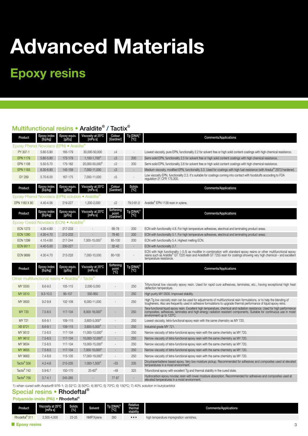## **Epoxy resins**

|                                                     |                        |                        | Multifunctional resins • Araldite® / Tactix® |                                 |                                 |                                                                                                                                                                                                                                                                                  |
|-----------------------------------------------------|------------------------|------------------------|----------------------------------------------|---------------------------------|---------------------------------|----------------------------------------------------------------------------------------------------------------------------------------------------------------------------------------------------------------------------------------------------------------------------------|
| Product                                             | Epoxy index<br>[Eq/kg] | Epoxy equiv.<br>[g/Eq] | Viscosity at 25°C<br>[mPa s]                 | Colour<br>[Gardner]             | Tg [DMA] <sup>1]</sup><br>[°C]  | <b>Comments/Applications</b>                                                                                                                                                                                                                                                     |
| Epoxy Phenol Novolacs (EPN) • Araldite®             |                        |                        |                                              |                                 |                                 |                                                                                                                                                                                                                                                                                  |
| PY 307-1                                            | 5.60-5.90              | 165-179                | 30,000-50,000                                | $\leq 4$                        | $\overline{\phantom{a}}$        | Lowest viscosity, pure EPN, functionality 2.2 for solvent free or high solid content coatings with high chemical resistance.                                                                                                                                                     |
| <b>EPN 1179</b>                                     | 5.60-5.80              | 172-179                | $1,100-1,700^{2}$                            | $\leq 3$                        | 200                             | Semi-solid EPN, functionality 2.5 for solvent free or high solid content coatings with high chemical resistance.                                                                                                                                                                 |
| <b>EPN 1138</b>                                     | 5.50-5.70              | 175-182                | 20,000-50,000 <sup>2/</sup>                  | $\leq$ 2                        | 200                             | Semi-solid EPN, functionality 3.6 for solvent free or high solid content coatings with high chemical resistance.                                                                                                                                                                 |
| <b>EPN 1183</b>                                     | 6.30-6.90              | 145-159                | 7,000-11,000                                 | $\leq 3$                        | $\sim$                          | Medium viscosity, modified EPN, functionality 3.3. Used for coatings with high fuel resistance (with Aradur® 2973 hardener).                                                                                                                                                     |
| GY 289                                              | 5.70-6.00              | 167-175                | 7,000-11,000                                 | $\leq 5$                        |                                 | Low viscosity EPN, functionality 2.3. It's suitable for coatings coming into contact with foodstuffs according to FDA<br>regulation 21 CFR 175.300.                                                                                                                              |
| Product                                             | Epoxy index<br>[Eq/kg] | Epoxy equiv.<br>lg/Fqi | Viscosity at 25°C<br>[mPa s]                 | Colour<br>[Gardner]             | Solids<br>[°C]                  | <b>Comments/Applications</b>                                                                                                                                                                                                                                                     |
| Epoxy Phenol Novolacs (EPN) solution                |                        |                        | $\bullet$ Araldite $\degree$                 |                                 |                                 |                                                                                                                                                                                                                                                                                  |
| EPN 1180 X 80                                       | 4.40-4.56              | 219-227                | 1,200-2,000                                  | $\leq$ 2                        | 79.0-81.0                       | Araldite® EPN 1138 resin in xylene.                                                                                                                                                                                                                                              |
| Product                                             | Epoxy index<br>[Eq/kg] | Epoxy equiv.<br>[g/Eq] | Viscosity at 25°C<br>[mPa s]                 | Softening<br>point<br>[Gardner] | Tg [DMA] <sup>1)</sup><br>[°C]  | <b>Comments/Applications</b>                                                                                                                                                                                                                                                     |
| Epoxy Cresol Novolacs (ECN) • Araldite <sup>®</sup> |                        |                        |                                              |                                 |                                 |                                                                                                                                                                                                                                                                                  |
| <b>ECN 1273</b>                                     | 4.30-4.60              | 217-233                |                                              | 68-78                           | 200                             | ECN with functionality 4.8. For high temperature adhesives, electrical and laminating product areas.                                                                                                                                                                             |
| <b>ECN 1280</b>                                     | 4.30-4.70              | 212-233                |                                              | 78-85                           | 200                             | ECN with functionality 5.1. For high temperature adhesives, electrical and laminating product areas.                                                                                                                                                                             |
| <b>ECN 1299</b>                                     | 4.10-4.60              | 217-244                | 7,000-15,000                                 | 85-100                          | 200                             | ECN with functionality 5.4. Highest melting ECN.                                                                                                                                                                                                                                 |
| <b>ECN 9511</b>                                     | 4.40-5.00              | 200-227                |                                              | $32 - 42$                       |                                 | ECN with functionality 2.7.                                                                                                                                                                                                                                                      |
| <b>ECN 9699</b>                                     | 4.30-4.70              | 213-233                | 7,000-10,000                                 | 80-100                          |                                 | ECN with high functionality (~5.5) as modifier in combination with standard epoxy resins or other multifunctional epoxy<br>resins such as Araldite® GT 7220 resin and Araldite® GT 7255 resin for coatings showing very high chemical – and excellent<br>temperature resistance. |
| Product                                             | Epoxy index<br>[Eq/kg] | Epoxy equiv.<br>[g/Eq] | Viscosity at 25°C<br>[mPa s]                 | Softening<br>point<br>°C]       | Tg [DMA]' <sup>')</sup><br>[°C] | <b>Comments/Applications</b>                                                                                                                                                                                                                                                     |
| Other multifunctional resins • Araldite® / Tactix®  |                        |                        |                                              |                                 |                                 |                                                                                                                                                                                                                                                                                  |
| MY 0500                                             | 8.6-9.5                | 105-115                | 2,000-5,000                                  |                                 | 250                             | Trifunctional low viscosity epoxy resin. Used for rapid cure adhesives, laminates, etc., having exceptional high heat<br>deflection temperature.                                                                                                                                 |
| MY 0510                                             | $9.3 - 10.5$           | 95-107                 | 550-850                                      |                                 | 250                             | High purity MY 0500. Improved stability.                                                                                                                                                                                                                                         |
| MY 0600                                             | $9.2 - 9.8$            | 102-109                | 6,000-11,000                                 |                                 | 250                             | High Tg low viscosity resin can be used for adjustments of multifunctional resin formulations, or to help the blending of<br>tougheners. Also are frequently used in adhesive formulations to upgrade thermal performance of liquid epoxy reins.                                 |
| MY 720                                              | $7.5 - 8.5$            | 117-134                | 8,000-18,0003                                |                                 | 250                             | Tera-functional liquid epoxy resin. Excellent high temperature, chemical and radiation resistance. Used for high performance<br>composites, adhesives, laminates and high-energy radiation resistant components. Suitable for con<br>environment up to 120°C.                    |
| MY 721                                              | $8.6 - 9.1$            | 109-115                | $3.600 - 5.000$ <sup>3</sup>                 |                                 | 250                             | Lowest viscosity, tetra-functional epoxy resin with the same chemistry as MY 720.                                                                                                                                                                                                |
| XB 9721                                             | $8.6 - 9.1$            | 109-115                | $3,600 - 5,000^{39}$                         |                                 | 250                             | Industrial grade MY 721.                                                                                                                                                                                                                                                         |
| MY 9512                                             | $7.5 - 8.5$            | 117-134                | 11,000-13,0003                               |                                 | 250                             | Narrow viscosity of tetra-functional epoxy resin with the same chemistry as MY 720.                                                                                                                                                                                              |
| MY 9612                                             | $7.5 - 8.5$            | 117-134                | 10,000-12,000                                |                                 | 250                             | Narrow viscosity of tetra-functional epoxy resin with the same chemistry as MY 720.                                                                                                                                                                                              |
| MY 9634                                             | $7.5 - 8.5$            | 117-134                | 13,000-15,000 <sup>3)</sup>                  |                                 | 250                             | Narrow viscosity of tetra-functional epoxy resin with the same chemistry as MY 720.                                                                                                                                                                                              |
| MY 9655                                             | $7.5 - 8.5$            | 117-134                | 7,000-10,000 <sup>3</sup>                    |                                 | 250                             | Narrow viscosity of tetra-functional epoxy resin with the same chemistry as MY 720.                                                                                                                                                                                              |
| MY 9663                                             | $7.4 - 8.6$            | 115-135                | 17,000-19,000 <sup>3)</sup>                  |                                 | 250                             | Narrow viscosity of tetra-functional epoxy resin with the same chemistry as MY 720.                                                                                                                                                                                              |
| Tactix <sup>®</sup> 556                             | $4.2 - 4.6$            | 215-235                | $1,000-1,500^{4}$                            | $-53$                           | 235                             | Dicyclopentadiene based epoxy. Very low moisture pickup. Recommended for adhesives and composites used at elevated<br>temperatures in a moist environment.                                                                                                                       |
| Tactix <sup>®</sup> 742                             | $5.9 - 6.7$            | 150-170                | $25 - 60^{6}$                                | ~149                            | 325                             | Trifunctional epoxy with excellent Tg and thermal stability in the cured state.                                                                                                                                                                                                  |
| Tactix <sup>®</sup> 756                             | $3.7 - 4.1$            | 245-265                |                                              | 77-87                           |                                 | Hydrocarbon epoxy novolac resin with lower moisture absorption. Recommended for adhesives and composites used at<br>elevated temperatures in a moist environment.                                                                                                                |

1) when cured with Aradur® 976-1; 2) 52°C; 3) 50ºC; 4) 85ºC; 5) 70ºC; 6) 150ºC; 7) 40% solution in butylcarbitol

### Special resins • Rhodeftal®

#### Polyamide-imide (PAI) • Rhodeftal®

| Product                    | Viscosity at 25°C<br>lmPa sl | Solids<br>[%] | Solvent    | $Tg$ $[DMA]$ <sup>1)</sup><br>- الله. | Relative<br>thermal<br>stability | <b>Comments/Applications</b>             |
|----------------------------|------------------------------|---------------|------------|---------------------------------------|----------------------------------|------------------------------------------|
| Rhodeftal <sup>®</sup> 311 | 2,500-4,000                  | $23 - 25$     | NMP/Xvlene | 280                                   | $\cdots$                         | high temperature impregnation varnishes. |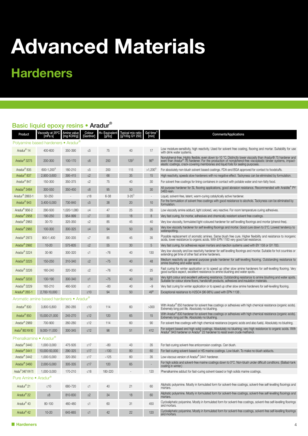## **Hardeners**

### Basic liquid epoxy resins • Aradur®

| Product                        | Viscosity at 25°C<br>[mPa s]             | Amine value<br>[mg KOH/g] | Colour<br>[Gardner] | H+ Equivalent<br>[g/Eq] | Typical mix ratio<br>[g/100g GY 250] | Gel time <sup>1</sup><br>[min] | <b>Comments/Applications</b>                                                                                                                                                                                                                                                                                   |
|--------------------------------|------------------------------------------|---------------------------|---------------------|-------------------------|--------------------------------------|--------------------------------|----------------------------------------------------------------------------------------------------------------------------------------------------------------------------------------------------------------------------------------------------------------------------------------------------------------|
|                                | Polyamine based hardeners • Aradur'      |                           |                     |                         |                                      |                                |                                                                                                                                                                                                                                                                                                                |
| Aradur <sup>®</sup> 14         | 400-600                                  | 350-390                   | $\leq 5$            | 75                      | 40                                   | 17                             | Low moisture-sensitivity, high reactivity. Used for solvent free coating, flooring and mortar. Suitability for use<br>with drink water systems.                                                                                                                                                                |
| Aradur <sup>®</sup> 3275       | 200-300                                  | 100-170                   | $\leq 6$            | 250                     | $129^{7}$                            | $86^{8}$                       | Nonylphenol-free. Highly flexible, even down to-10 °C. Distinctly lower viscosity than Aradur® 75 hardener and even than Aradur® 76 hardener. For the production of nonylphenol-free viscoplastic binder systems, impact-<br>elastic coatings, crack-covering membranes and liquid foils for sealing purposes. |
| Aradur <sup>®</sup> 835        | 600-1.200 <sup>3</sup>                   | 180-210                   | $\leq 5$            | 200                     | 115                                  | $>1,200^2$                     | For absolutely non-blush solvent based coatings. FDA-and BGA approved for contact to foodstuffs.                                                                                                                                                                                                               |
| Aradur <sup>®</sup> 837        | 2,900-3,600                              | 395-415                   | $\leq$ 2            | 66                      | 35                                   | 15                             | High reactivity, speeds slow hardeners with no negative effect. Tackyness can be eliminated by formulation.                                                                                                                                                                                                    |
| Aradur <sup>®</sup> 847        | 150-300                                  | 350-375                   | $\leq$ 2            | 75                      | 40                                   | 30                             | For solvent free coatings for lining containers in contact with potable water and non-fatty food.                                                                                                                                                                                                              |
| Aradur <sup>®</sup> 3484       | 300-550                                  | 350-450                   | $\leq 6$            | 95                      | 50                                   | 30                             | All purpose hardener for SL flooring applications, good abrasion resistance. Recommended with Araldite® PY<br>3483 resin.                                                                                                                                                                                      |
| Aradur <sup>®</sup> 2863-1     | 50-250                                   |                           | $≤18$               | $6 - 38$                | $3 - 20'$                            |                                | Liquid, solvent-free, latent, warm-curing catalytically active hardener.                                                                                                                                                                                                                                       |
| Aradur <sup>®</sup> 943        | 3,400-5,000                              | 730-840                   | $\leq 5$            | 38                      | 20                                   | 10                             | For the formulation of solvent free coatings with good resistance to alcohols. Tackyness can be eliminated by<br>formulation.                                                                                                                                                                                  |
| Aradur <sup>®</sup> 956-2      | 290-500                                  | 1,020-1,080               | $\leq 4$            | 47                      | 25                                   | 35                             | Low viscosity amine adduct, light colored, very reactive. For room temperature curing adhesives.                                                                                                                                                                                                               |
| Aradur <sup>®</sup> 2958       | 190-250                                  | 954-999                   | $\leq 7$            | 33                      | 18                                   | 8                              | Very fast curing, for mortar, adhesives and chemically resistant solvent free coatings.                                                                                                                                                                                                                        |
| Aradur <sup>®</sup> 2963       | $30 - 70$                                | 325-350                   | $\leq$ 2            | 85                      | 45                                   | 40                             | Very low viscosity, formulated light-coloured hardener for self levelling floorings and mortar (phenol-free).                                                                                                                                                                                                  |
| Aradur <sup>®</sup> 2965       | 100-300                                  | 300-325                   | $\leq 4$            | 94                      | 50                                   | 35                             | Very low viscosity hardener for self levelling floorings and mortar. Good cure down to 5°C. Lowest tendency to<br>waterspotting.                                                                                                                                                                               |
| Aradur <sup>®</sup> 2973       | 900-1,400                                | 300-335                   | $\leq 7$            | 85                      | 45                                   | 35                             | Possible replacement of aromatic amines. Same blush free cure. Higher flexibility and resistance to inorganic<br>acids, lower resistance to organic acids. With EPN 1183 very good fuel resistance.                                                                                                            |
| Aradur <sup>®</sup> 2992       | $10 - 20$                                | 575-605                   | $\leq$ 2            | 55                      | 30                                   | 5                              | Very fast curing, for adhesives repair mortars and injection systems used with BY 158 or GY 783.                                                                                                                                                                                                               |
| Aradur <sup>®</sup> 3224       | $30 - 90$                                | 300-320                   | ≤1                  | ~176                    | 40                                   | 130                            | Very low viscosity and low reactivity hardener for self levelling floorings and mortar. Suitable for hot countries or<br>extending gel time of other fast amine hardeners.                                                                                                                                     |
| Aradur <sup>®</sup> 3225       | 150-250                                  | 310-340                   | $\leq$ 2            | ~1.75                   | 40                                   | 48                             | Medium reactivity as general purpose grade hardener for self-levelling flooring. Outstanding resistance to<br>amine blushing and water spots.                                                                                                                                                                  |
| Aradur <sup>®</sup> 3226       | 160-240                                  | 320-350                   | $\leq$ 2            | $~1$ -76                | 40                                   | 25                             | Fast curing for winter application or to speed up other slow amine hardeners for self-levelling flooring. Very<br>good surface aspect, excellent resistance to amine blushing and water spots.                                                                                                                 |
| Aradur <sup>®</sup> 3233       | 130-190                                  | 300-340                   | $\leq 1$            | $~1 - 75$               | 40                                   | 50                             | Very light colour and excellent yellowing resistance. Outstanding resistance to amine blushing and water spots.<br>Suitable for colour stone floors, handicraft products, adhesives and insulation materials.                                                                                                  |
| Aradur <sup>®</sup> 3229       | 165-210                                  | 460-500                   | $\leq 1$            | $-80$                   | 40                                   | ~10                            | Very fast curing for winter application or to speed up other slow amine hardeners for self-levelling flooring.                                                                                                                                                                                                 |
| Aradur <sup>®</sup> 265-1      | 2,700-10,000                             |                           | $\leq 10$           | 94                      | 50                                   | $49^{6}$                       | Exceptional resistance to H2SO4 (96-98%) used with EPN 1138                                                                                                                                                                                                                                                    |
|                                | Aromatic amine based hardeners • Aradur® |                           |                     |                         |                                      |                                |                                                                                                                                                                                                                                                                                                                |
| Aradur <sup>®</sup> 830        | 3,800-5,800                              | 260-285                   | $\leq 10$           | 114                     | 60                                   | >300                           | With Aradur® 850 hardener for solvent free coatings or adhesives with high chemical resistance (organic acids).<br>Extremely long pot life. Absolutely no blushing.                                                                                                                                            |
| Aradur <sup>®</sup> 850        | 15,000-21,000                            | 245-270                   | $\leq 12$           | 120                     | 65                                   | 15                             | With Aradur® 830 hardener for solvent free coatings or adhesives with high chemical resistance (organic acids).<br>Extremely long pot life. Absolutely no blushing.                                                                                                                                            |
| Aradur <sup>®</sup> 2969       | 700-900                                  | 260-280                   | $\leq 12$           | 114                     | 60                                   | 90                             | For solvent free coatings with high chemical resistance (organic acids and also fuels). Absolutely no blushing.                                                                                                                                                                                                |
| Aradur <sup>®</sup> 863 XW 80  | 9,000-11,000                             | 300-345                   | $\leq 12$           | 96                      | 51                                   | 412                            | For solvent based and high solid coatings. Absolutely no blushing, very high resistance to organic acids. With<br>Aradur® 943 hardener or Aradur® 22 hardener to resist even crude methanol.                                                                                                                   |
| Phenalkamine • Aradur®         |                                          |                           |                     |                         |                                      |                                |                                                                                                                                                                                                                                                                                                                |
| Aradur <sup>®</sup> 3440       | 1.000-3.000                              | 475-505                   | $\leq 17$           | $-80$                   | 43                                   | 35                             | For fast-curing solvent-free anticorrosion coatings. Can blush.                                                                                                                                                                                                                                                |
| Aradur <sup>®</sup> 3441       | 10,000-50,000                            | 290-325                   | $\leq 17$           | ~130                    | 80                                   | 60                             | For fast-curing solvent-based or HS marine coatings. Low blush. To make no-blush adducts.                                                                                                                                                                                                                      |
| Aradur <sup>®</sup> 3442       | 1,000-5,000                              | 320-350                   | $\leq$ 17           | ~125                    | 60                                   | 35                             | Low-viscous version of Aradur® 3441 hardener.                                                                                                                                                                                                                                                                  |
| Aradur <sup>®</sup> 3460       | 2,000-5,000                              | 305-335                   | $≤17$               | 120                     | 65                                   |                                | For high solids and solvent-free marine coatings down to 0°C. Non-blush under difficult conditions. (Ballast-tank<br>coating in winter.)                                                                                                                                                                       |
| Aradur <sup>®</sup> 3467 XW 70 | 1,000-3,000                              | 170-210                   | $≤18$               | 180-220                 |                                      | 120                            | Phenalkamine adduct for fast-curing solvent-based or high solids marine coatings.                                                                                                                                                                                                                              |
| Pure Amine • Aradur®           |                                          |                           |                     |                         |                                      |                                |                                                                                                                                                                                                                                                                                                                |
| Aradur <sup>®</sup> 21         | ≤10                                      | 680-720                   | $\leq 1$            | 40                      | 21                                   | 60                             | Aliphatic polyamine. Mostly in formulated form for solvent-free coatings, solvent-free self-levelling floorings and<br>mortars.                                                                                                                                                                                |
| Aradur <sup>®</sup> 22         | $\leq 8$                                 | 810-830                   | $\leq 2$            | 34                      | 18                                   | 60                             | Aliphatic polyamine. Mostly in formulated form for solvent-free coatings, solvent-free self-levelling floorings and<br>mortars.                                                                                                                                                                                |
| Aradur <sup>®</sup> 40         | 80-100                                   | 460-480                   | $\leq 1$            | 60                      | 31                                   | 450                            | Cycloaliphatic polyamine. Mostly in formulated form for solvent-free coatings, solvent-free self-levelling floorings<br>and mortars.                                                                                                                                                                           |
| Aradur <sup>®</sup> 42         | $10 - 20$                                | 645-665                   | $\leq 1$            | 42                      | 22                                   | 120                            | Cycloaliphatic polyamine. Mostly in formulated form for solvent-free coatings, solvent-free self-levelling floorings<br>and mortars.                                                                                                                                                                           |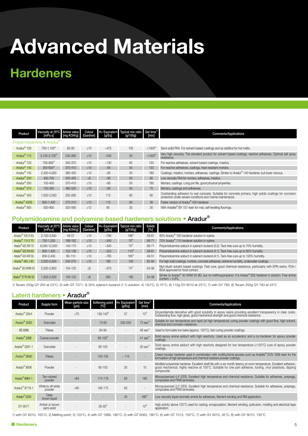## **Hardeners**

| Product                  | Viscosity at 25°C   Amine value<br>[mPa s] | [mg KOH/g] | Colour<br>[Gardner] | lg/Eqi | $H+$ Equivalent Typical mix ratio Gel time <sup>1)</sup><br>[g/100g] | [min]       | <b>Comments/Applications</b>                                                                                                                                          |
|--------------------------|--------------------------------------------|------------|---------------------|--------|----------------------------------------------------------------------|-------------|-----------------------------------------------------------------------------------------------------------------------------------------------------------------------|
|                          | Polyamidoamine • Aradur <sup>®</sup>       |            |                     |        |                                                                      |             |                                                                                                                                                                       |
| Aradur <sup>®</sup> 100  | 700-1.100 <sup>4)</sup>                    | 83-93      | $\leq 10$           | ~1475  | 100                                                                  | $>1000^{2}$ | Semi-solid PAA. For solvent based coatings and as additive for hot melts.                                                                                             |
| Aradur <sup>®</sup> 115  | $3.100 - 3.700^{5}$                        | 240-260    | ≤10                 | ~240   | 50                                                                   | $>1000^{2}$ | Very high viscosity. The standard product for solvent based coatings, reactive adhesives. Optimal salt spray<br>resistance.                                           |
| Aradur <sup>®</sup> 125  | 700-900 <sup>5)</sup>                      | 340-370    | $\leq 10$           | ~130   | 65                                                                   | 120         | For reactive adhesives, solvent based coatings, mastics.                                                                                                              |
| Aradur <sup>®</sup> 140  | $300 - 600^{5}$                            | 370-410    | ≤10                 | $-95$  | 50                                                                   | 120         | For reactive adhesives, castings, heat-resistant mortars.                                                                                                             |
| Aradur <sup>®</sup> 145  | 2,400-4,000                                | 380-420    | $\leq 10$           | $-95$  | 50                                                                   | 180         | Coatings, mastics, mortars, adhesives, castings. Similar to Aradur® 140 hardener, but lower viscous.                                                                  |
| Aradur <sup>®</sup> 250  | 400-700                                    | 425-455    | $\leq 8$            | $-95$  | 50                                                                   | 60          | Low viscosity PAA for mortars, adhesives, mastics.                                                                                                                    |
| Aradur <sup>®</sup> 350  | $100 - 400$                                | 370-410    | <10                 | $-95$  | 50                                                                   | 180         | Mortars, castings. Long pot life, good physical properties.                                                                                                           |
| Aradur <sup>®</sup> 370  | 150-350                                    | 480-520    | ≤10                 | $-95$  | 50                                                                   | 70          | Mortars, castings and adhesives.                                                                                                                                      |
| Aradur <sup>®</sup> 450  | 1,000-2,000                                | 250-290    | $\leq 10$           | 115    | 60                                                                   | 60          | Outstanding adhesion to wet concrete. Suitable for concrete primers, high solids coatings for corrosion<br>protection under severe conditions and marine maintenance. |
| Aradur <sup>®</sup> 450S | 600-1,400                                  | 270-310    | ≤10                 | 115    | 60                                                                   | 36          | Faster version of Aradur <sup>®</sup> 450 hardener                                                                                                                    |
| Aradur <sup>®</sup> 955  | 500-900                                    | 520-580    | $\leq$ 12           | 65     | 35                                                                   | 30          | With Araldite® BY 157 resin for mat, self-levelling floorings.                                                                                                        |

#### Polyamidoamine and polyamine based hardeners solutions • Aradur®

| Product                        | Viscosity at 25°C Amine value<br>[mPa s] | [mg KOH/g] [Gardner] | Colour    | [g/Eq] | H+ Equivalent Typical mix ratio<br>[g/100g] | Solids<br>[%] | <b>Comments/Applications</b>                                                                                                                 |
|--------------------------------|------------------------------------------|----------------------|-----------|--------|---------------------------------------------|---------------|----------------------------------------------------------------------------------------------------------------------------------------------|
| Aradur <sup>®</sup> 100 X 60   | 2,100-3,500                              | 49-57                | $\leq 10$ | ~1790  | $166^{2}$                                   | 59-61         | 60% Aradur® 100 hardener solution in xylene.                                                                                                 |
| Aradur <sup>®</sup> 115 X 70   | 750-1.250                                | 168-182              | ≤10       | $-340$ | $70^{2}$                                    | 69-71         | 70% Aradur <sup>®</sup> 115 hardener solution in xylene.                                                                                     |
| Aradur® 422 XW 70              | 6,000-12,000                             | 140-170              | $\leq 10$ | $-340$ | $70^{2}$                                    | 69-71         | Polyamidoamine adduct in xylene/n-butanol (3:2). Tack-free cure up to 70% humidity.                                                          |
| Aradur® 423 XW 60              | 800-1.400                                | 122-138              | $\leq 10$ | $-520$ | $110^{2}$                                   | 59-61         | Polyamidoamine adduct in xylene/n-butanol (4:1). Tack-free cure up to 80% humidity.                                                          |
| Aradur <sup>®</sup> 424 XW 50  | 600-2.400                                | 80-110               | $\leq 10$ | ~1785  | $165^{2}$                                   | 49-51         | Polyamidoamine adduct in xylene/n-butanol (4:1). Tack-free cure up to 100% humidity.                                                         |
| Aradur <sup>®</sup> 460 J 90   | 2.500-5.500                              | 240-270              | $\leq 10$ | 190    | 100                                         | 82-84         | For high solid coatings, mortars, concrete adhesives, extreme humidity, underwater coatings.                                                 |
| Aradur <sup>®</sup> 30 XWM 55  | 2.000-2.800                              | 104-120              | $\leq 8$  | $-370$ | $74^{2}$                                    | 54-56         | Non-blush solvent based coatings. Fast cure, good chemical resistance, particularly with EPN resins. FDA-/<br>BGA approved for food contact. |
| Aradur <sup>®</sup> 3776 XW 55 | 1.500-2.500                              | 100-120              | $\leq 8$  | 350    | 185                                         | 54-56         | Similar to Aradur® 30 XWM 55 BD, but no methoxypropanol. It is Aradur® 835 hardener in solution. Free amine<br>content $< 0.9\%$ .           |

1) Tecam 250g GY 250 at 23°C; 2) with GT 7071; 3) 30% xylene/n-butanol (1:1) solution; 4) 150°C; 5) 75°C; 6) 110g GY 6010 at 23°C; 7) with GY 783; 8) Tecam 250g GY 783 at 23°C

### Latent hardeners • Aradur®

| Product                    | Supply form                  | Mean particle size<br>[µm] | Softening point<br>[°C] | H+ Equivalent<br>[g/Eq] | Gel time <sup>1)</sup><br>[min] | <b>Comments/Applications</b>                                                                                                                                                                                                                       |
|----------------------------|------------------------------|----------------------------|-------------------------|-------------------------|---------------------------------|----------------------------------------------------------------------------------------------------------------------------------------------------------------------------------------------------------------------------------------------------|
| Aradur <sup>®</sup> 2844   | Powder                       | < 75                       | $139 - 143^{2}$         | 37                      | $10^{3}$                        | Dicyandiamide derivative with good solubility in epoxy resins providing excellent transparency in clear coats.<br>Outstanding flow, high gloss, good mechanical strength and good chemical resistance.                                             |
| Aradur <sup>®</sup> 3082   | Granulate                    |                            | 73-83                   | 230-250                 | $73$ sec $4$                    | Suitable for low temperature and rapid (at high temperature) curing powder coatings with good flow, high solvent,<br>chemical and corrosion resistance.                                                                                            |
| XB 3086                    | Flakes                       |                            | 84-94                   |                         | 48~sec <sup>5</sup>             | Used to formulate low bake (approx. 120°C), fast curing powder coatings.                                                                                                                                                                           |
| Aradur <sup>®</sup> 3088   | Coarse powder                |                            | $85 - 105^{2}$          |                         | $41 \text{ sec}$ <sup>6)</sup>  | Solid epoxy amine adduct with high reactivity. Used as an accelerator and a co-hardener for epoxy powder<br>coatings.                                                                                                                              |
| Aradur® 3261-1             | Granulate                    |                            | $90 - 100$              |                         | 50~sec <sup>5</sup>             | Solid epoxy amine adduct with high reactivity designed for low temperature ( $<$ 150 $^{\circ}$ C) cure of epoxy powder<br>coatings.                                                                                                               |
| Aradur <sup>®</sup> 9690   | <b>Flakes</b>                |                            | 100-105                 | ~115                    |                                 | Cresol novolac hardener used in combination with multifuctional epoxies such as Araldite® ECN 1299 resin for the<br>formulation of high temperature and chemical resistant powder coatings.                                                        |
| Aradur <sup>®</sup> 9506   | Powder                       |                            | $90 - 100$              | 35                      | 10                              | Modified polyamide hardener. Excellent shelf life with a six month latency at room temperature. Excellent adhesion,<br>good mechanical, highly reactive at 100°C. Suitable for one part adhesive, tooling, vinyl plastisols, dipping<br>compounds. |
| Aradur <sup>®</sup> 9664-1 | Tan colored<br>powder        | < 64                       | 174-178                 | 63                      | 180                             | Micropulverized 4.4'-DDS. Excellent high temperature and chemical resistance. Suitable for adhesives, prepregs,<br>composites and PWB laminates.                                                                                                   |
| Aradur <sup>®</sup> 9719-1 | White to off-white<br>powder | <60                        | 165-175                 | 63                      |                                 | Micropulverized 3.3'-DDS. Excellent high temperature and chemical resistance. Suitable for adhesives, prepregs,<br>composites and PWB laminates.                                                                                                   |
| Aradur® 5200               | Clear,<br>brown liquid       |                            |                         | 45                      | $480^{7}$                       | Low viscosity liquid aromatic amine for adhesives, filament winding and RM application.                                                                                                                                                            |
| DY 9577                    | Amber or brown<br>semi-solid |                            | $26 - 35^{2}$           |                         | $10^{8}$                        | High activity above 120°C used for casting, encapsulation, filament winding, pultrusion, molding and electrical tape<br>application                                                                                                                |

1) with GY 6010, 100°C; 2) Melting point; 3) 120°C; 4) with GT 1999, 180°C; 5) with GT 6063, 180°C; 6) with GT 7013, 150°C; 7) with GY 6010, 35°C; 8) with GY 6010, 130°C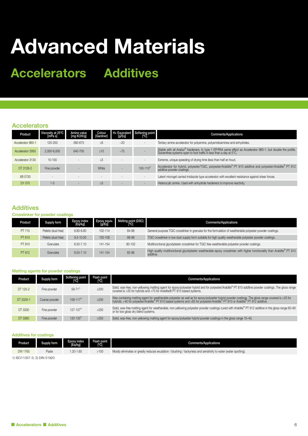## **Accelerators Additives**

#### **Accelerators**

| Product           | Viscosity at 25°C<br>[mPa s] | Amine value<br>[mg KOH/g] | Colour<br>[Gardner] | [g/Eg] | H+ Equivalent Softening point<br>[°C] | <b>Comments/Applications</b>                                                                                                                                                         |
|-------------------|------------------------------|---------------------------|---------------------|--------|---------------------------------------|--------------------------------------------------------------------------------------------------------------------------------------------------------------------------------------|
| Accelerator 960-1 | 120-250                      | 560-675                   | $\leq 8$            | ~20    |                                       | Tertiary amine accelerator for polyamine, polyamidoamines and anhydrides.                                                                                                            |
| Accelerator 2950  | 2.000-6.000                  | 640-700                   | <10                 | ~1.75  |                                       | Stable with all Aradur® hardeners. In type 1 EP/PAA same effect as Accelerator 960-1, but double the potifie.<br>Solventfree systems open to foot traffic in less than a day at 5°C. |
| Accelerator 3130  | $10-100$                     |                           | $\leq 3$            |        |                                       | Extreme, unique speeding of drying time (less than half an hour).                                                                                                                    |
| DT 3126-2         | Fine powder                  |                           | White               |        | $100 - 110^{2}$                       | Accelerator for hybrid, polyester/TGIC, polyester/Araldite® PT 910 additive and polyester/Araldite® PT 912<br>additive powder coatings.                                              |
| XB 5730           |                              |                           |                     |        |                                       | Latent microgel carried imidazole type accelerator with excellent resistance against shear forces.                                                                                   |
| DY 070            | $1 - 5$                      |                           | $\leq 3$            |        |                                       | Heterocylic amine. Used with anhydride hardeners to improve reactivity.                                                                                                              |

#### **Additives**

#### Crosslinker for powder coatings

| Product | Supply form         | Epoxy index<br>[Eq/kg] | Epoxy equiv.<br>[ɡ/Eq] | Melting point (DSC) | <b>Comments/Applications</b>                                                                                                          |
|---------|---------------------|------------------------|------------------------|---------------------|---------------------------------------------------------------------------------------------------------------------------------------|
| PT 710  | Pellets (dust free) | 8.80-9.80              | 102-114                | 84-98               | General purpose TGIC crosslinker in granules for the formulation of weatherable polyester powder coatings.                            |
| PT 810  | Pellets (dust free) | $9.3 - 10.00$          | 100-108                | 88-98               | TGIC crosslinker in low dust supply form suitable for high quality weatherable polyester powder coatings.                             |
| PT 910  | Granulate           | $6.50 - 7.10$          | 141-154                | $90 - 102$          | Multifunctional glycidylester crosslinker for TGIC free weatherable polyester powder coatings.                                        |
| PT 912  | Granulate           | $6.50 - 7.10$          | 141-154                | 82-96               | High quality multifunctional glycidylester weatherable epoxy crosslinker with higher functionality than Araldite® PT 910<br>additive. |

#### Matting agents for powder coatings

| Product   | Supply form   | Softening point<br>[°C] | Flash point<br>[°C] | <b>Comments/Applications</b>                                                                                                                                                                                                      |
|-----------|---------------|-------------------------|---------------------|-----------------------------------------------------------------------------------------------------------------------------------------------------------------------------------------------------------------------------------|
| DT 125-2  | Fine powder   | $59 - 71^{11}$          | $\geq$ 200          | Solid, wax-free, non-yellowing matting agent for epoxy/polyester hybrid and for polyester/Araldite® PT 810 additive powder coatings. The gloss range<br>covered is >35 for hybrids and >70 for Araldite® PT 810 based systems.    |
| DT 3329-1 | Coarse powder | $109 - 117^{2}$         | $\geq$ 200          | Wax containing matting agent for weatherable polyester as well as for epoxy/polyester hybrid powder coatings. The gloss range covered is >25 for<br>hybrids; >40 for polyester/Araldite® PT 810 based systems and >65 for polyest |
| DT 3330   | Fine powder   | $127 - 137^{2}$         | >250                | Solid, wax-free matting agent for weatherable, non-yellowing polyester powder coatings cured with Araldite® PT 912 additive in the gloss range 60-80<br>or for low gloss dry blend systems.                                       |
| DT 3360   | Fine powder   | $120 - 135^{2}$         | >250                | Solid, wax-free, non-yellowing matting agent for epoxy/polyester hybrid powder coatings in the gloss range 15-40.                                                                                                                 |

#### Additives for coatings

| Product | Supply form | Epoxy index<br>[Eq/kg] | <b>Flash point</b><br>[°Ċ] | <b>Comments/Applications</b>                                                                                     |
|---------|-------------|------------------------|----------------------------|------------------------------------------------------------------------------------------------------------------|
| DW 1765 | Paste       | $.20 - 1.60$           | >100                       | Mostly eliminates or greatly reduces exudation / blushing / tackyness and sensitivity to water (water spotting). |

1) ISO11357-3; 2) DIN 51920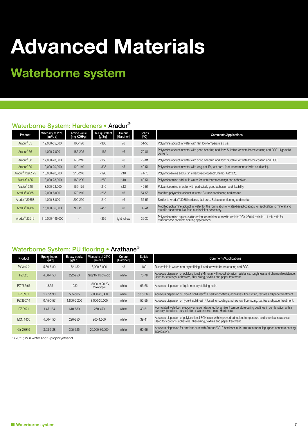## **Waterborne system**

### Waterborne System: Hardeners • Aradur®

| Product                      | Viscosity at 25°C<br>[mPa s] | Amine value<br>[mg KOH/g] | H+ Equivalent<br>[g/Eq] | Colour<br>[Gardner] | Solids<br>[°C] | <b>Comments/Applications</b>                                                                                                                                             |
|------------------------------|------------------------------|---------------------------|-------------------------|---------------------|----------------|--------------------------------------------------------------------------------------------------------------------------------------------------------------------------|
| Aradur <sup>®</sup> 35       | 19,000-35,000                | 100-120                   | $-380$                  | $\leq 6$            | $51 - 55$      | Polyamine adduct in water with fast low-temperature cure.                                                                                                                |
| Aradur <sup>®</sup> 36       | 4,000-7,000                  | 185-225                   | ~165                    | $\leq 6$            | 79-81          | Polyamine adduct in water with good handling and flow. Suitable for waterborne coating and ECC. High solid<br>content.                                                   |
| Aradur <sup>®</sup> 38       | 17.000-23.000                | 170-210                   | ~150                    | $\leq 6$            | 79-81          | Polyamine adduct in water with good handling and flow. Suitable for waterborne coating and ECC.                                                                          |
| Aradur <sup>®</sup> 39       | 12,000-20,000                | 120-140                   | ~2335                   | $\leq 5$            | 49-51          | Polyamine adduct in water with long pot life, fast cure. (Not recommended with solid resin).                                                                             |
| Aradur <sup>®</sup> 429 Z 75 | 10,000-20,000                | 210-240                   | ~190                    | $\leq 10$           | 74-76          | Polyamidoamine adduct in ethanol/sopropanol/Shellsol A (2:2:1).                                                                                                          |
| Aradur <sup>®</sup> 435      | 13.000-23.000                | 160-200                   | ~250                    | $\leq 10$           | 49-51          | Polyamidoamine adduct in water for waterborne coatings and adhesives.                                                                                                    |
| Aradur <sup>®</sup> 340      | 18,000-23,000                | 155-175                   | $-210$                  | $\leq 12$           | 49-51          | Polyamidoamine in water with particularly good adhesion and flexibility.                                                                                                 |
| Aradur <sup>®</sup> 3985     | 2,000-6,000                  | 170-210                   | ~265                    | $\leq 6$            | 54-56          | Modified polyamine adduct in water. Suitable for flooring and mortar.                                                                                                    |
| Aradur <sup>®</sup> 3985S    | 4,000-8,000                  | 200-250                   | $-210$                  | $\leq 6$            | 54-56          | Similar to Aradur <sup>®</sup> 3985 hardener, fast cure. Suitable for flooring and mortar.                                                                               |
| Aradur <sup>®</sup> 3986     | 15,000-35,000                | $90 - 110$                | ~15                     | $\leq 6$            | $39 - 41$      | Modified polyamine adduct in water for the formulation of water-based coatings for application to mineral and<br>metallic substrates. No flash rust inhibitor necessary. |
| Aradur <sup>®</sup> 23919    | 110.000-145.000              |                           | $-355$                  | light yellow        | $26 - 30$      | Polyamidoamine aqueous dispersion for ambient cure with Araldite® GY 23919 resin in 1:1 mix ratio for<br>multipurpose concrete coating applications.                     |

#### Waterborne System: PU flooring • Arathane®

| Product         | <b>Epoxy index</b><br>[Eq/kg] | Epoxy equiv.<br>[g/Eq] | Viscosity at 25°C<br>[mPa s]         | Colour<br>[Gardner] | Solids<br>[%] | <b>Comments/Applications</b>                                                                                                                                                                  |
|-----------------|-------------------------------|------------------------|--------------------------------------|---------------------|---------------|-----------------------------------------------------------------------------------------------------------------------------------------------------------------------------------------------|
| PY 340-2        | 5.50-5.80                     | 172-182                | 6,000-8,000                          | $\leq 3$            | 100           | Dispersible in water, non-crystallizing. Used for waterborne coating and ECC.                                                                                                                 |
| PZ 323          | 4.00-4.50                     | 222-250                | Slightly thixotropic                 | white               | 75-78         | Aqueous dispersion of polyfunctional EPN resin with good abrasion resistance, toughness and chemical resistance.<br>Used for coatings, adhesives, fiber-sizing, textiles and paper treatment. |
| PZ 756/67       | $-3.55$                       | ~282                   | $\sim$ 5000 at 20 °C.<br>thixotropic | white               | 66-68         | Aqueous dispersion of liquid non-crystallizing resin.                                                                                                                                         |
| PZ 3901         | $1.77 - 1.98$                 | 505-565                | 7.000-20.000                         | white               | 53.5-56.5     | Aqueous dispersion of Type-1 solid resin <sup>2</sup> . Used for coatings, adhesives, fiber-sizing, textiles and paper treatment.                                                             |
| PZ 3907-1       | $0.45 - 0.57$                 | 1,800-2,200            | 8,000-20,000                         | white               | $52 - 55$     | Aqueous dispersion of Type-7 solid resin <sup>2</sup> . Used for coatings, adhesives, fiber-sizing, textiles and paper treatment.                                                             |
| PZ 3921         | 1.47-164                      | 610-680                | $250 - 450$                          | white               | 49-51         | Formulated waterborne epoxy emulsion designed for ambient temperature curing coatings in combination with a<br>carboxyl-functional acrylic latex or waterborne amine Hardeners.               |
| <b>ECN 1400</b> | 4.00-4.50                     | 220-250                | 900-1.500                            | white               | $39 - 41$     | Aqueous dispersion of polyfunctional ECN resin with improved adhesion, temperature and chemical resistance.<br>Used for coatings, adhesives, fiber-sizing, textiles and paper treatment.      |
| GY 23919        | $3.08 - 3.28$                 | 305-325                | 20,000-30,000                        | white               | 60-66         | Aqueous dispersion for ambient cure with Aradur 23919 hardener in 1:1 mix ratio for multipurpose concrete coating<br>applications.                                                            |

1) 23°C; 2) in water and 2-propoxyethanol